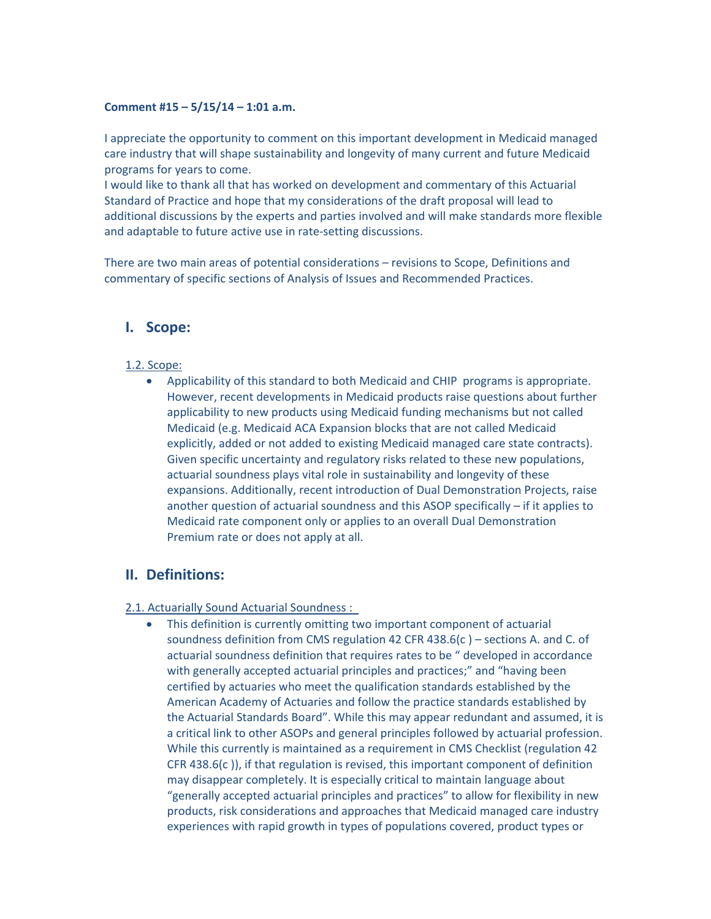#### **Comment #15 – 5/15/14 – 1:01 a.m.**

I appreciate the opportunity to comment on this important development in Medicaid managed care industry that will shape sustainability and longevity of many current and future Medicaid programs for years to come.

I would like to thank all that has worked on development and commentary of this Actuarial Standard of Practice and hope that my considerations of the draft proposal will lead to additional discussions by the experts and parties involved and will make standards more flexible and adaptable to future active use in rate‐setting discussions.

There are two main areas of potential considerations – revisions to Scope, Definitions and commentary of specific sections of Analysis of Issues and Recommended Practices.

## **I. Scope:**

#### 1.2. Scope:

 Applicability of this standard to both Medicaid and CHIP programs is appropriate. However, recent developments in Medicaid products raise questions about further applicability to new products using Medicaid funding mechanisms but not called Medicaid (e.g. Medicaid ACA Expansion blocks that are not called Medicaid explicitly, added or not added to existing Medicaid managed care state contracts). Given specific uncertainty and regulatory risks related to these new populations, actuarial soundness plays vital role in sustainability and longevity of these expansions. Additionally, recent introduction of Dual Demonstration Projects, raise another question of actuarial soundness and this ASOP specifically – if it applies to Medicaid rate component only or applies to an overall Dual Demonstration Premium rate or does not apply at all.

## **II. Definitions:**

#### 2.1. Actuarially Sound Actuarial Soundness :

 This definition is currently omitting two important component of actuarial soundness definition from CMS regulation 42 CFR 438.6(c ) – sections A. and C. of actuarial soundness definition that requires rates to be " developed in accordance with generally accepted actuarial principles and practices;" and "having been certified by actuaries who meet the qualification standards established by the American Academy of Actuaries and follow the practice standards established by the Actuarial Standards Board". While this may appear redundant and assumed, it is a critical link to other ASOPs and general principles followed by actuarial profession. While this currently is maintained as a requirement in CMS Checklist (regulation 42 CFR 438.6(c )), if that regulation is revised, this important component of definition may disappear completely. It is especially critical to maintain language about "generally accepted actuarial principles and practices" to allow for flexibility in new products, risk considerations and approaches that Medicaid managed care industry experiences with rapid growth in types of populations covered, product types or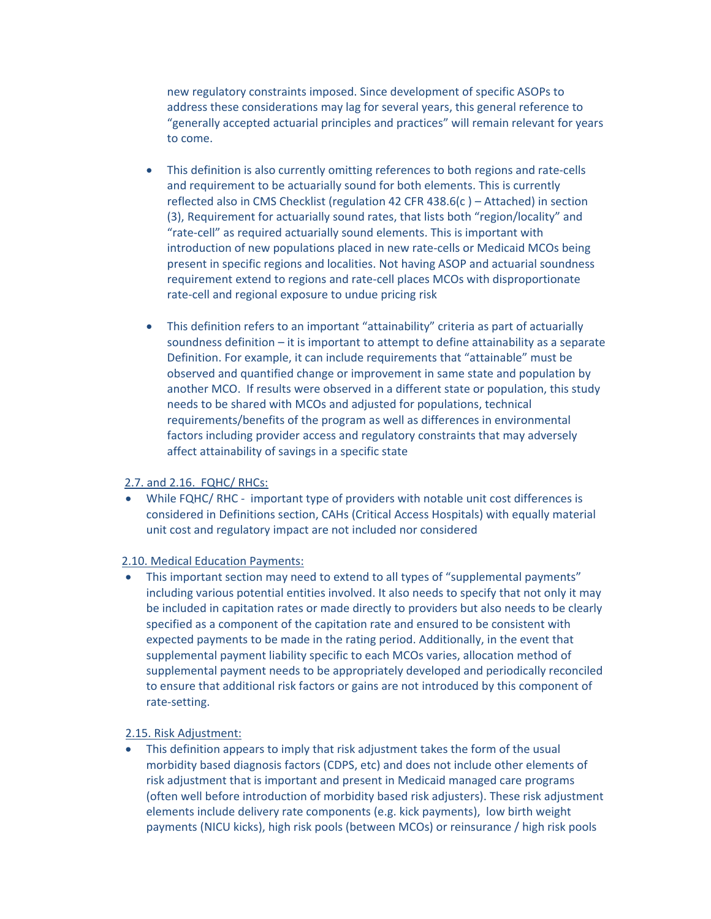new regulatory constraints imposed. Since development of specific ASOPs to address these considerations may lag for several years, this general reference to "generally accepted actuarial principles and practices" will remain relevant for years to come.

- This definition is also currently omitting references to both regions and rate‐cells and requirement to be actuarially sound for both elements. This is currently reflected also in CMS Checklist (regulation 42 CFR 438.6(c ) – Attached) in section (3), Requirement for actuarially sound rates, that lists both "region/locality" and "rate‐cell" as required actuarially sound elements. This is important with introduction of new populations placed in new rate-cells or Medicaid MCOs being present in specific regions and localities. Not having ASOP and actuarial soundness requirement extend to regions and rate‐cell places MCOs with disproportionate rate‐cell and regional exposure to undue pricing risk
- This definition refers to an important "attainability" criteria as part of actuarially soundness definition – it is important to attempt to define attainability as a separate Definition. For example, it can include requirements that "attainable" must be observed and quantified change or improvement in same state and population by another MCO. If results were observed in a different state or population, this study needs to be shared with MCOs and adjusted for populations, technical requirements/benefits of the program as well as differences in environmental factors including provider access and regulatory constraints that may adversely affect attainability of savings in a specific state

#### 2.7. and 2.16. FQHC/ RHCs:

● While FQHC/ RHC - important type of providers with notable unit cost differences is considered in Definitions section, CAHs (Critical Access Hospitals) with equally material unit cost and regulatory impact are not included nor considered

#### 2.10. Medical Education Payments:

 This important section may need to extend to all types of "supplemental payments" including various potential entities involved. It also needs to specify that not only it may be included in capitation rates or made directly to providers but also needs to be clearly specified as a component of the capitation rate and ensured to be consistent with expected payments to be made in the rating period. Additionally, in the event that supplemental payment liability specific to each MCOs varies, allocation method of supplemental payment needs to be appropriately developed and periodically reconciled to ensure that additional risk factors or gains are not introduced by this component of rate‐setting.

## 2.15. Risk Adjustment:

 This definition appears to imply that risk adjustment takes the form of the usual morbidity based diagnosis factors (CDPS, etc) and does not include other elements of risk adjustment that is important and present in Medicaid managed care programs (often well before introduction of morbidity based risk adjusters). These risk adjustment elements include delivery rate components (e.g. kick payments), low birth weight payments (NICU kicks), high risk pools (between MCOs) or reinsurance / high risk pools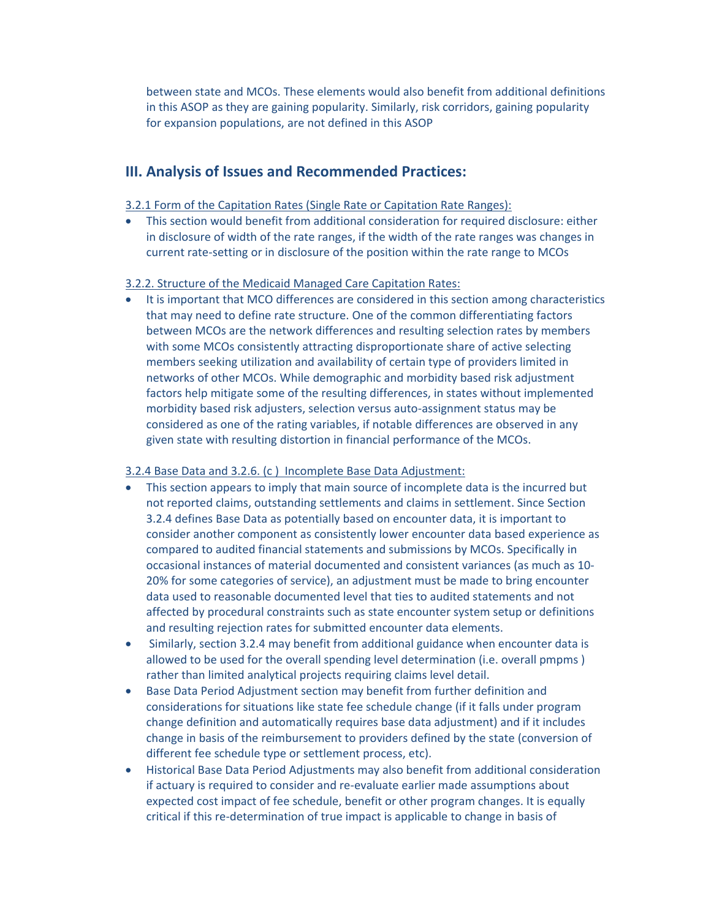between state and MCOs. These elements would also benefit from additional definitions in this ASOP as they are gaining popularity. Similarly, risk corridors, gaining popularity for expansion populations, are not defined in this ASOP

# **III. Analysis of Issues and Recommended Practices:**

## 3.2.1 Form of the Capitation Rates (Single Rate or Capitation Rate Ranges):

 This section would benefit from additional consideration for required disclosure: either in disclosure of width of the rate ranges, if the width of the rate ranges was changes in current rate‐setting or in disclosure of the position within the rate range to MCOs

## 3.2.2. Structure of the Medicaid Managed Care Capitation Rates:

• It is important that MCO differences are considered in this section among characteristics that may need to define rate structure. One of the common differentiating factors between MCOs are the network differences and resulting selection rates by members with some MCOs consistently attracting disproportionate share of active selecting members seeking utilization and availability of certain type of providers limited in networks of other MCOs. While demographic and morbidity based risk adjustment factors help mitigate some of the resulting differences, in states without implemented morbidity based risk adjusters, selection versus auto‐assignment status may be considered as one of the rating variables, if notable differences are observed in any given state with resulting distortion in financial performance of the MCOs.

## 3.2.4 Base Data and 3.2.6. (c ) Incomplete Base Data Adjustment:

- This section appears to imply that main source of incomplete data is the incurred but not reported claims, outstanding settlements and claims in settlement. Since Section 3.2.4 defines Base Data as potentially based on encounter data, it is important to consider another component as consistently lower encounter data based experience as compared to audited financial statements and submissions by MCOs. Specifically in occasional instances of material documented and consistent variances (as much as 10‐ 20% for some categories of service), an adjustment must be made to bring encounter data used to reasonable documented level that ties to audited statements and not affected by procedural constraints such as state encounter system setup or definitions and resulting rejection rates for submitted encounter data elements.
- Similarly, section 3.2.4 may benefit from additional guidance when encounter data is allowed to be used for the overall spending level determination (i.e. overall pmpms ) rather than limited analytical projects requiring claims level detail.
- Base Data Period Adjustment section may benefit from further definition and considerations for situations like state fee schedule change (if it falls under program change definition and automatically requires base data adjustment) and if it includes change in basis of the reimbursement to providers defined by the state (conversion of different fee schedule type or settlement process, etc).
- Historical Base Data Period Adjustments may also benefit from additional consideration if actuary is required to consider and re‐evaluate earlier made assumptions about expected cost impact of fee schedule, benefit or other program changes. It is equally critical if this re‐determination of true impact is applicable to change in basis of